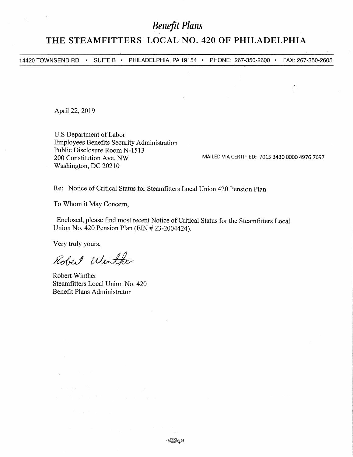# *Benefit Plans*

## **THE STEAMFITTERS' LOCAL NO. 420 OF PHILADELPHIA**

14420 TOWNSEND RD. • SUITE B • PHILADELPHIA, PA 19154 • PHONE: 267-350-2600 • FAX: 267-350-2605

April 22, 2019

 $\frac{\lambda}{4}$ 

U.S Department of Labor Employees Benefits Security Administration Public Disclosure Room N-1513 200 Constitution Ave, NW Washington, DC 20210

MAILED VIA CERTIFIED: 7015 3430 0000 4976 7697

Re: Notice of Critical Status for Steamfitters Local Union 420 Pension Plan

To Whom it May Concern,

Enclosed, please find most recent Notice of Critical Status for the Steamfitters Local Union No. 420 Pension Plan (EIN # 23-2004424).

Very truly yours,

Robert Winther

Robert Winther Steamfitters Local Union No. 420 Benefit Plans Administrator